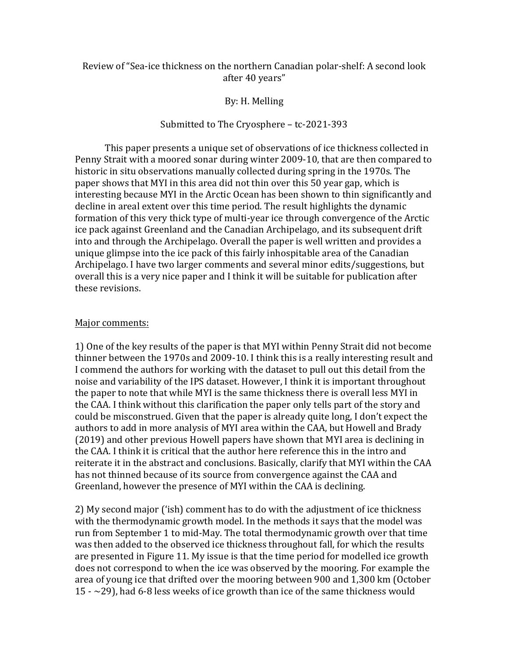# Review of "Sea-ice thickness on the northern Canadian polar-shelf: A second look after 40 years"

## By: H. Melling

### Submitted to The Cryosphere - tc-2021-393

This paper presents a unique set of observations of ice thickness collected in Penny Strait with a moored sonar during winter 2009-10, that are then compared to historic in situ observations manually collected during spring in the 1970s. The paper shows that MYI in this area did not thin over this 50 year gap, which is interesting because MYI in the Arctic Ocean has been shown to thin significantly and decline in areal extent over this time period. The result highlights the dynamic formation of this very thick type of multi-year ice through convergence of the Arctic ice pack against Greenland and the Canadian Archipelago, and its subsequent drift into and through the Archipelago. Overall the paper is well written and provides a unique glimpse into the ice pack of this fairly inhospitable area of the Canadian Archipelago. I have two larger comments and several minor edits/suggestions, but overall this is a very nice paper and I think it will be suitable for publication after these revisions.

#### Major comments:

1) One of the key results of the paper is that MYI within Penny Strait did not become thinner between the 1970s and 2009-10. I think this is a really interesting result and I commend the authors for working with the dataset to pull out this detail from the noise and variability of the IPS dataset. However, I think it is important throughout the paper to note that while MYI is the same thickness there is overall less MYI in the CAA. I think without this clarification the paper only tells part of the story and could be misconstrued. Given that the paper is already quite long, I don't expect the authors to add in more analysis of MYI area within the CAA, but Howell and Brady (2019) and other previous Howell papers have shown that MYI area is declining in the CAA. I think it is critical that the author here reference this in the intro and reiterate it in the abstract and conclusions. Basically, clarify that MYI within the CAA has not thinned because of its source from convergence against the CAA and Greenland, however the presence of MYI within the CAA is declining.

2) My second major ('ish) comment has to do with the adjustment of ice thickness with the thermodynamic growth model. In the methods it says that the model was run from September 1 to mid-May. The total thermodynamic growth over that time was then added to the observed ice thickness throughout fall, for which the results are presented in Figure 11. My issue is that the time period for modelled ice growth does not correspond to when the ice was observed by the mooring. For example the area of young ice that drifted over the mooring between 900 and 1,300 km (October  $15 - 29$ ), had 6-8 less weeks of ice growth than ice of the same thickness would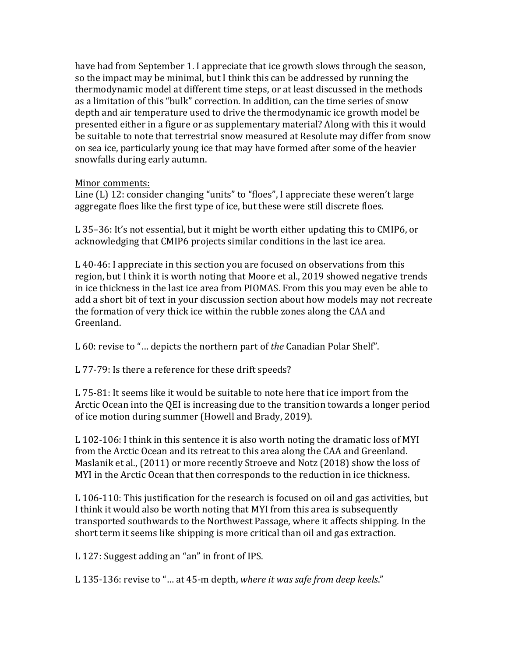have had from September 1. I appreciate that ice growth slows through the season, so the impact may be minimal, but I think this can be addressed by running the thermodynamic model at different time steps, or at least discussed in the methods as a limitation of this "bulk" correction. In addition, can the time series of snow depth and air temperature used to drive the thermodynamic ice growth model be presented either in a figure or as supplementary material? Along with this it would be suitable to note that terrestrial snow measured at Resolute may differ from snow on sea ice, particularly young ice that may have formed after some of the heavier snowfalls during early autumn.

# Minor comments:

Line  $(L)$  12: consider changing "units" to "floes", I appreciate these weren't large aggregate floes like the first type of ice, but these were still discrete floes.

L  $35-36$ : It's not essential, but it might be worth either updating this to CMIP6, or acknowledging that CMIP6 projects similar conditions in the last ice area.

L 40-46: I appreciate in this section you are focused on observations from this region, but I think it is worth noting that Moore et al., 2019 showed negative trends in ice thickness in the last ice area from PIOMAS. From this you may even be able to add a short bit of text in your discussion section about how models may not recreate the formation of very thick ice within the rubble zones along the CAA and Greenland.

L 60: revise to "... depicts the northern part of *the* Canadian Polar Shelf".

L 77-79: Is there a reference for these drift speeds?

L 75-81: It seems like it would be suitable to note here that ice import from the Arctic Ocean into the QEI is increasing due to the transition towards a longer period of ice motion during summer (Howell and Brady, 2019).

L 102-106: I think in this sentence it is also worth noting the dramatic loss of MYI from the Arctic Ocean and its retreat to this area along the CAA and Greenland. Maslanik et al.,  $(2011)$  or more recently Stroeve and Notz  $(2018)$  show the loss of MYI in the Arctic Ocean that then corresponds to the reduction in ice thickness.

L 106-110: This justification for the research is focused on oil and gas activities, but I think it would also be worth noting that MYI from this area is subsequently transported southwards to the Northwest Passage, where it affects shipping. In the short term it seems like shipping is more critical than oil and gas extraction.

L 127: Suggest adding an "an" in front of IPS.

L 135-136: revise to "... at 45-m depth, where it was safe from deep keels."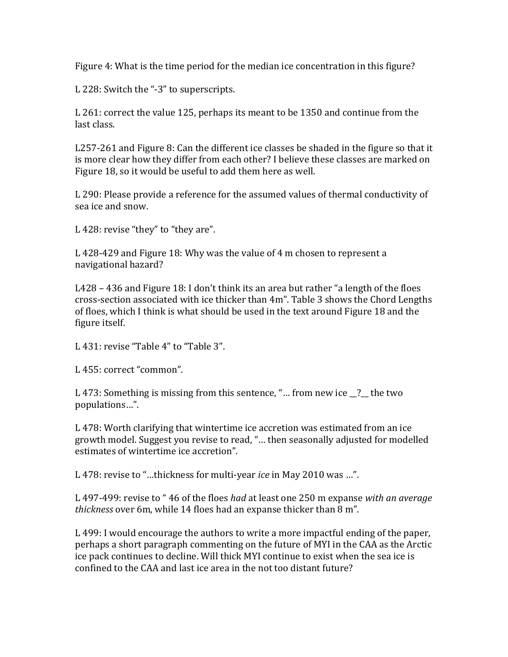Figure 4: What is the time period for the median ice concentration in this figure?

L 228: Switch the "-3" to superscripts.

L 261: correct the value 125, perhaps its meant to be 1350 and continue from the last class.

 $L257-261$  and Figure 8: Can the different ice classes be shaded in the figure so that it is more clear how they differ from each other? I believe these classes are marked on Figure 18, so it would be useful to add them here as well.

L 290: Please provide a reference for the assumed values of thermal conductivity of sea ice and snow.

L 428: revise "they" to "they are".

L 428-429 and Figure 18: Why was the value of 4 m chosen to represent a navigational hazard?

L428 – 436 and Figure 18: I don't think its an area but rather "a length of the floes cross-section associated with ice thicker than 4m". Table 3 shows the Chord Lengths of floes, which I think is what should be used in the text around Figure 18 and the figure itself.

L 431: revise "Table 4" to "Table 3".

L 455: correct "common".

L 473: Something is missing from this sentence, "... from new ice  $\cdot$ ? the two populations…". 

L 478: Worth clarifying that wintertime ice accretion was estimated from an ice growth model. Suggest you revise to read, "... then seasonally adjusted for modelled estimates of wintertime ice accretion".

L 478: revise to "...thickness for multi-year *ice* in May 2010 was ...".

L 497-499: revise to " 46 of the floes *had* at least one 250 m expanse with an average *thickness* over 6m, while 14 floes had an expanse thicker than 8 m".

L 499: I would encourage the authors to write a more impactful ending of the paper, perhaps a short paragraph commenting on the future of MYI in the CAA as the Arctic ice pack continues to decline. Will thick MYI continue to exist when the sea ice is confined to the CAA and last ice area in the not too distant future?